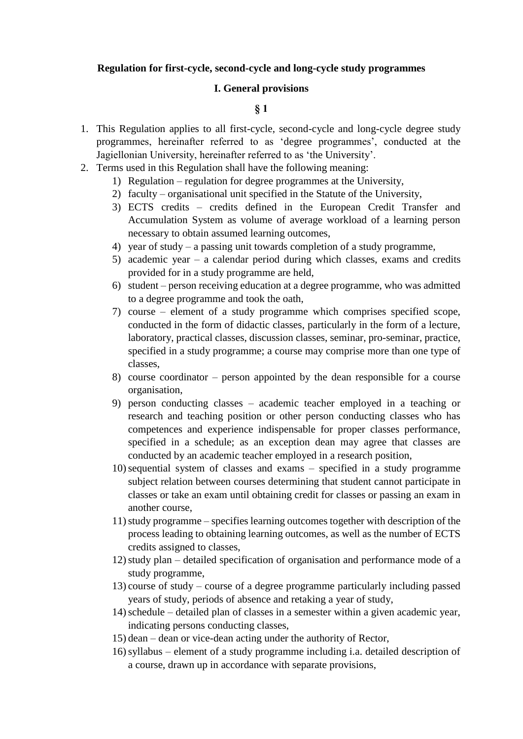#### **Regulation for first-cycle, second-cycle and long-cycle study programmes**

#### **I. General provisions**

- 1. This Regulation applies to all first-cycle, second-cycle and long-cycle degree study programmes, hereinafter referred to as 'degree programmes', conducted at the Jagiellonian University, hereinafter referred to as 'the University'.
- 2. Terms used in this Regulation shall have the following meaning:
	- 1) Regulation regulation for degree programmes at the University,
	- 2) faculty organisational unit specified in the Statute of the University,
	- 3) ECTS credits credits defined in the European Credit Transfer and Accumulation System as volume of average workload of a learning person necessary to obtain assumed learning outcomes,
	- 4) year of study a passing unit towards completion of a study programme,
	- 5) academic year a calendar period during which classes, exams and credits provided for in a study programme are held,
	- 6) student person receiving education at a degree programme, who was admitted to a degree programme and took the oath,
	- 7) course element of a study programme which comprises specified scope, conducted in the form of didactic classes, particularly in the form of a lecture, laboratory, practical classes, discussion classes, seminar, pro-seminar, practice, specified in a study programme; a course may comprise more than one type of classes,
	- 8) course coordinator person appointed by the dean responsible for a course organisation,
	- 9) person conducting classes academic teacher employed in a teaching or research and teaching position or other person conducting classes who has competences and experience indispensable for proper classes performance, specified in a schedule; as an exception dean may agree that classes are conducted by an academic teacher employed in a research position,
	- 10)sequential system of classes and exams specified in a study programme subject relation between courses determining that student cannot participate in classes or take an exam until obtaining credit for classes or passing an exam in another course,
	- 11)study programme specifies learning outcomes together with description of the process leading to obtaining learning outcomes, as well as the number of ECTS credits assigned to classes,
	- 12)study plan detailed specification of organisation and performance mode of a study programme,
	- 13) course of study course of a degree programme particularly including passed years of study, periods of absence and retaking a year of study,
	- 14)schedule detailed plan of classes in a semester within a given academic year, indicating persons conducting classes,
	- 15) dean dean or vice-dean acting under the authority of Rector,
	- 16)syllabus element of a study programme including i.a. detailed description of a course, drawn up in accordance with separate provisions,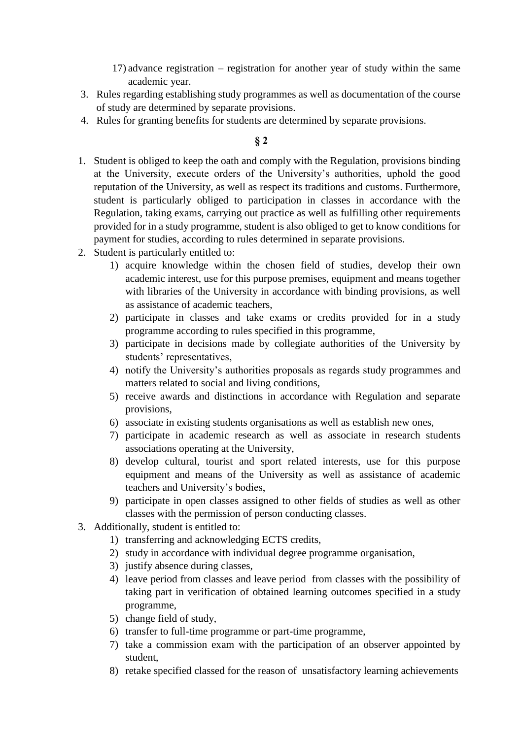17) advance registration – registration for another year of study within the same academic year.

- 3. Rules regarding establishing study programmes as well as documentation of the course of study are determined by separate provisions.
- 4. Rules for granting benefits for students are determined by separate provisions.

- 1. Student is obliged to keep the oath and comply with the Regulation, provisions binding at the University, execute orders of the University's authorities, uphold the good reputation of the University, as well as respect its traditions and customs. Furthermore, student is particularly obliged to participation in classes in accordance with the Regulation, taking exams, carrying out practice as well as fulfilling other requirements provided for in a study programme, student is also obliged to get to know conditions for payment for studies, according to rules determined in separate provisions.
- 2. Student is particularly entitled to:
	- 1) acquire knowledge within the chosen field of studies, develop their own academic interest, use for this purpose premises, equipment and means together with libraries of the University in accordance with binding provisions, as well as assistance of academic teachers,
	- 2) participate in classes and take exams or credits provided for in a study programme according to rules specified in this programme,
	- 3) participate in decisions made by collegiate authorities of the University by students' representatives,
	- 4) notify the University's authorities proposals as regards study programmes and matters related to social and living conditions,
	- 5) receive awards and distinctions in accordance with Regulation and separate provisions,
	- 6) associate in existing students organisations as well as establish new ones,
	- 7) participate in academic research as well as associate in research students associations operating at the University,
	- 8) develop cultural, tourist and sport related interests, use for this purpose equipment and means of the University as well as assistance of academic teachers and University's bodies,
	- 9) participate in open classes assigned to other fields of studies as well as other classes with the permission of person conducting classes.
- 3. Additionally, student is entitled to:
	- 1) transferring and acknowledging ECTS credits,
	- 2) study in accordance with individual degree programme organisation,
	- 3) justify absence during classes,
	- 4) leave period from classes and leave period from classes with the possibility of taking part in verification of obtained learning outcomes specified in a study programme,
	- 5) change field of study,
	- 6) transfer to full-time programme or part-time programme,
	- 7) take a commission exam with the participation of an observer appointed by student,
	- 8) retake specified classed for the reason of unsatisfactory learning achievements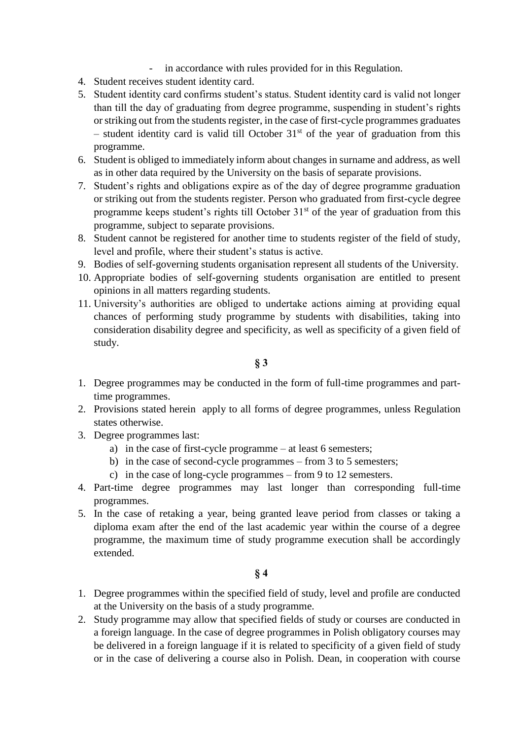- in accordance with rules provided for in this Regulation.
- 4. Student receives student identity card.
- 5. Student identity card confirms student's status. Student identity card is valid not longer than till the day of graduating from degree programme, suspending in student's rights or striking out from the students register, in the case of first-cycle programmes graduates – student identity card is valid till October  $31<sup>st</sup>$  of the year of graduation from this programme.
- 6. Student is obliged to immediately inform about changes in surname and address, as well as in other data required by the University on the basis of separate provisions.
- 7. Student's rights and obligations expire as of the day of degree programme graduation or striking out from the students register. Person who graduated from first-cycle degree programme keeps student's rights till October  $31<sup>st</sup>$  of the year of graduation from this programme, subject to separate provisions.
- 8. Student cannot be registered for another time to students register of the field of study, level and profile, where their student's status is active.
- 9. Bodies of self-governing students organisation represent all students of the University.
- 10. Appropriate bodies of self-governing students organisation are entitled to present opinions in all matters regarding students.
- 11. University's authorities are obliged to undertake actions aiming at providing equal chances of performing study programme by students with disabilities, taking into consideration disability degree and specificity, as well as specificity of a given field of study.

- 1. Degree programmes may be conducted in the form of full-time programmes and parttime programmes.
- 2. Provisions stated herein apply to all forms of degree programmes, unless Regulation states otherwise.
- 3. Degree programmes last:
	- a) in the case of first-cycle programme at least 6 semesters;
	- b) in the case of second-cycle programmes from 3 to 5 semesters;
	- c) in the case of long-cycle programmes from 9 to 12 semesters.
- 4. Part-time degree programmes may last longer than corresponding full-time programmes.
- 5. In the case of retaking a year, being granted leave period from classes or taking a diploma exam after the end of the last academic year within the course of a degree programme, the maximum time of study programme execution shall be accordingly extended.

- 1. Degree programmes within the specified field of study, level and profile are conducted at the University on the basis of a study programme.
- 2. Study programme may allow that specified fields of study or courses are conducted in a foreign language. In the case of degree programmes in Polish obligatory courses may be delivered in a foreign language if it is related to specificity of a given field of study or in the case of delivering a course also in Polish. Dean, in cooperation with course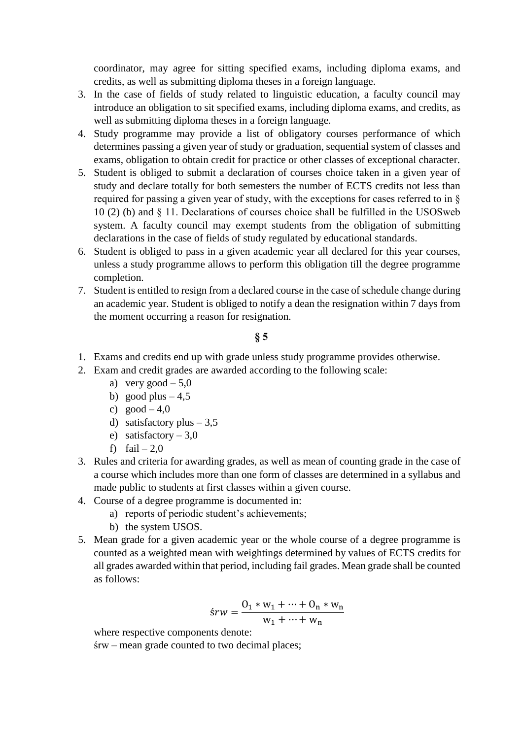coordinator, may agree for sitting specified exams, including diploma exams, and credits, as well as submitting diploma theses in a foreign language.

- 3. In the case of fields of study related to linguistic education, a faculty council may introduce an obligation to sit specified exams, including diploma exams, and credits, as well as submitting diploma theses in a foreign language.
- 4. Study programme may provide a list of obligatory courses performance of which determines passing a given year of study or graduation, sequential system of classes and exams, obligation to obtain credit for practice or other classes of exceptional character.
- 5. Student is obliged to submit a declaration of courses choice taken in a given year of study and declare totally for both semesters the number of ECTS credits not less than required for passing a given year of study, with the exceptions for cases referred to in § 10 (2) (b) and § 11. Declarations of courses choice shall be fulfilled in the USOSweb system. A faculty council may exempt students from the obligation of submitting declarations in the case of fields of study regulated by educational standards.
- 6. Student is obliged to pass in a given academic year all declared for this year courses, unless a study programme allows to perform this obligation till the degree programme completion.
- 7. Student is entitled to resign from a declared course in the case of schedule change during an academic year. Student is obliged to notify a dean the resignation within 7 days from the moment occurring a reason for resignation.

# **§ 5**

- 1. Exams and credits end up with grade unless study programme provides otherwise.
- 2. Exam and credit grades are awarded according to the following scale:
	- a) very good  $-5.0$
	- b) good plus  $-4,5$
	- c)  $good-4,0$
	- d) satisfactory plus  $-3,5$
	- e) satisfactory 3,0
	- f)  $fail 2.0$
- 3. Rules and criteria for awarding grades, as well as mean of counting grade in the case of a course which includes more than one form of classes are determined in a syllabus and made public to students at first classes within a given course.
- 4. Course of a degree programme is documented in:
	- a) reports of periodic student's achievements;
	- b) the system USOS.
- 5. Mean grade for a given academic year or the whole course of a degree programme is counted as a weighted mean with weightings determined by values of ECTS credits for all grades awarded within that period, including fail grades. Mean grade shall be counted as follows:

$$
\acute{s}rw = \frac{0_1 * w_1 + \dots + 0_n * w_n}{w_1 + \dots + w_n}
$$

where respective components denote:

śrw – mean grade counted to two decimal places;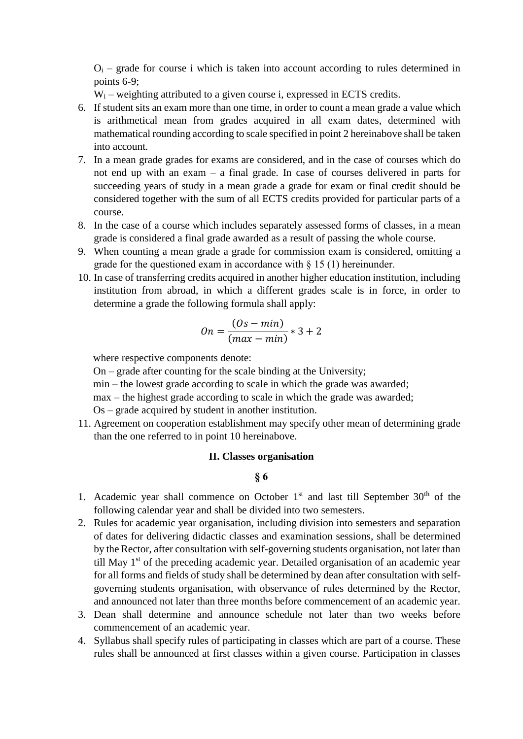$O_i$  – grade for course i which is taken into account according to rules determined in points 6-9;

 $W_i$  – weighting attributed to a given course i, expressed in ECTS credits.

- 6. If student sits an exam more than one time, in order to count a mean grade a value which is arithmetical mean from grades acquired in all exam dates, determined with mathematical rounding according to scale specified in point 2 hereinabove shall be taken into account.
- 7. In a mean grade grades for exams are considered, and in the case of courses which do not end up with an exam – a final grade. In case of courses delivered in parts for succeeding years of study in a mean grade a grade for exam or final credit should be considered together with the sum of all ECTS credits provided for particular parts of a course.
- 8. In the case of a course which includes separately assessed forms of classes, in a mean grade is considered a final grade awarded as a result of passing the whole course.
- 9. When counting a mean grade a grade for commission exam is considered, omitting a grade for the questioned exam in accordance with  $\S$  15 (1) hereinunder.
- 10. In case of transferring credits acquired in another higher education institution, including institution from abroad, in which a different grades scale is in force, in order to determine a grade the following formula shall apply:

$$
On = \frac{(Os - min)}{(max - min)} * 3 + 2
$$

where respective components denote:

On – grade after counting for the scale binding at the University;

min – the lowest grade according to scale in which the grade was awarded;

- max the highest grade according to scale in which the grade was awarded;
- Os grade acquired by student in another institution.
- 11. Agreement on cooperation establishment may specify other mean of determining grade than the one referred to in point 10 hereinabove.

#### **II. Classes organisation**

- 1. Academic year shall commence on October  $1<sup>st</sup>$  and last till September  $30<sup>th</sup>$  of the following calendar year and shall be divided into two semesters.
- 2. Rules for academic year organisation, including division into semesters and separation of dates for delivering didactic classes and examination sessions, shall be determined by the Rector, after consultation with self-governing students organisation, not later than till May  $1<sup>st</sup>$  of the preceding academic year. Detailed organisation of an academic year for all forms and fields of study shall be determined by dean after consultation with selfgoverning students organisation, with observance of rules determined by the Rector, and announced not later than three months before commencement of an academic year.
- 3. Dean shall determine and announce schedule not later than two weeks before commencement of an academic year.
- 4. Syllabus shall specify rules of participating in classes which are part of a course. These rules shall be announced at first classes within a given course. Participation in classes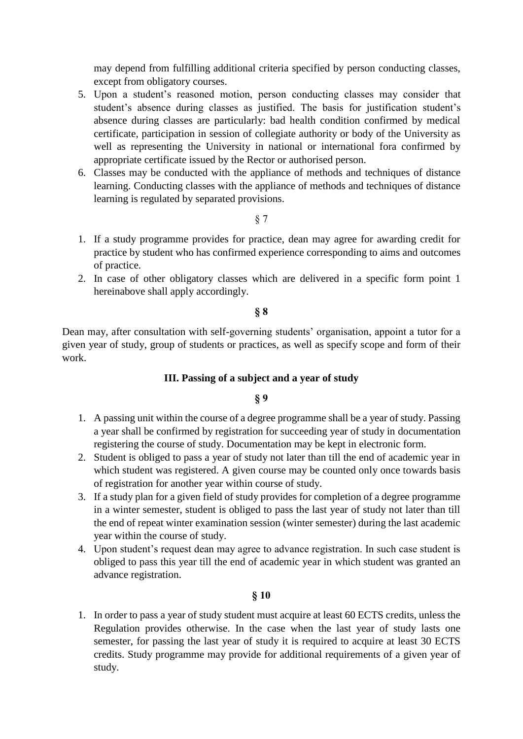may depend from fulfilling additional criteria specified by person conducting classes, except from obligatory courses.

- 5. Upon a student's reasoned motion, person conducting classes may consider that student's absence during classes as justified. The basis for justification student's absence during classes are particularly: bad health condition confirmed by medical certificate, participation in session of collegiate authority or body of the University as well as representing the University in national or international fora confirmed by appropriate certificate issued by the Rector or authorised person.
- 6. Classes may be conducted with the appliance of methods and techniques of distance learning. Conducting classes with the appliance of methods and techniques of distance learning is regulated by separated provisions.

§ 7

- 1. If a study programme provides for practice, dean may agree for awarding credit for practice by student who has confirmed experience corresponding to aims and outcomes of practice.
- 2. In case of other obligatory classes which are delivered in a specific form point 1 hereinabove shall apply accordingly.

#### **§ 8**

Dean may, after consultation with self-governing students' organisation, appoint a tutor for a given year of study, group of students or practices, as well as specify scope and form of their work.

# **III. Passing of a subject and a year of study**

#### **§ 9**

- 1. A passing unit within the course of a degree programme shall be a year of study. Passing a year shall be confirmed by registration for succeeding year of study in documentation registering the course of study. Documentation may be kept in electronic form.
- 2. Student is obliged to pass a year of study not later than till the end of academic year in which student was registered. A given course may be counted only once towards basis of registration for another year within course of study.
- 3. If a study plan for a given field of study provides for completion of a degree programme in a winter semester, student is obliged to pass the last year of study not later than till the end of repeat winter examination session (winter semester) during the last academic year within the course of study.
- 4. Upon student's request dean may agree to advance registration. In such case student is obliged to pass this year till the end of academic year in which student was granted an advance registration.

#### **§ 10**

1. In order to pass a year of study student must acquire at least 60 ECTS credits, unless the Regulation provides otherwise. In the case when the last year of study lasts one semester, for passing the last year of study it is required to acquire at least 30 ECTS credits. Study programme may provide for additional requirements of a given year of study.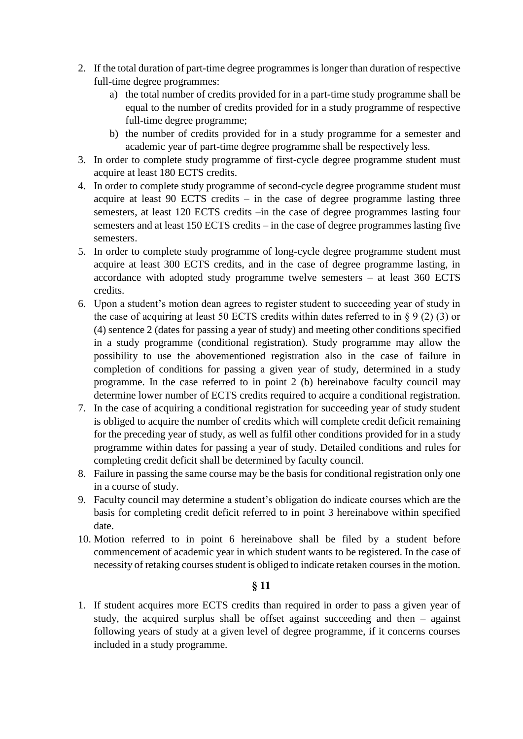- 2. If the total duration of part-time degree programmes is longer than duration of respective full-time degree programmes:
	- a) the total number of credits provided for in a part-time study programme shall be equal to the number of credits provided for in a study programme of respective full-time degree programme;
	- b) the number of credits provided for in a study programme for a semester and academic year of part-time degree programme shall be respectively less.
- 3. In order to complete study programme of first-cycle degree programme student must acquire at least 180 ECTS credits.
- 4. In order to complete study programme of second-cycle degree programme student must acquire at least 90 ECTS credits – in the case of degree programme lasting three semesters, at least 120 ECTS credits –in the case of degree programmes lasting four semesters and at least 150 ECTS credits – in the case of degree programmes lasting five semesters.
- 5. In order to complete study programme of long-cycle degree programme student must acquire at least 300 ECTS credits, and in the case of degree programme lasting, in accordance with adopted study programme twelve semesters – at least 360 ECTS credits.
- 6. Upon a student's motion dean agrees to register student to succeeding year of study in the case of acquiring at least 50 ECTS credits within dates referred to in  $\S 9(2)(3)$  or (4) sentence 2 (dates for passing a year of study) and meeting other conditions specified in a study programme (conditional registration). Study programme may allow the possibility to use the abovementioned registration also in the case of failure in completion of conditions for passing a given year of study, determined in a study programme. In the case referred to in point 2 (b) hereinabove faculty council may determine lower number of ECTS credits required to acquire a conditional registration.
- 7. In the case of acquiring a conditional registration for succeeding year of study student is obliged to acquire the number of credits which will complete credit deficit remaining for the preceding year of study, as well as fulfil other conditions provided for in a study programme within dates for passing a year of study. Detailed conditions and rules for completing credit deficit shall be determined by faculty council.
- 8. Failure in passing the same course may be the basis for conditional registration only one in a course of study.
- 9. Faculty council may determine a student's obligation do indicate courses which are the basis for completing credit deficit referred to in point 3 hereinabove within specified date.
- 10. Motion referred to in point 6 hereinabove shall be filed by a student before commencement of academic year in which student wants to be registered. In the case of necessity of retaking courses student is obliged to indicate retaken courses in the motion.

1. If student acquires more ECTS credits than required in order to pass a given year of study, the acquired surplus shall be offset against succeeding and then – against following years of study at a given level of degree programme, if it concerns courses included in a study programme.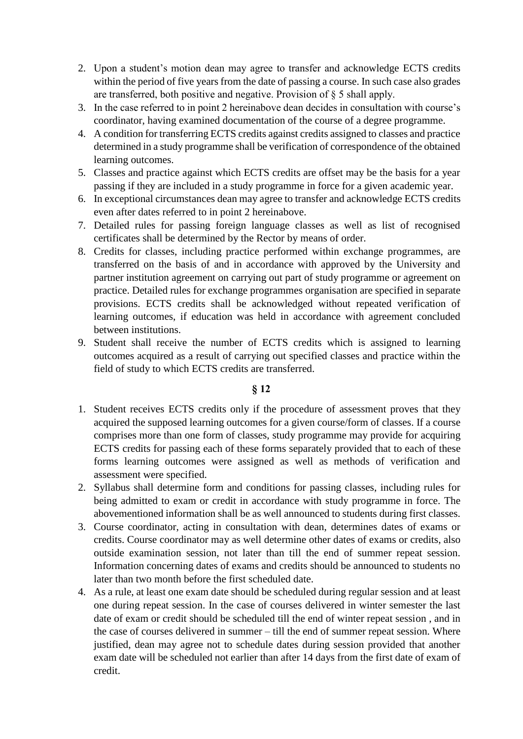- 2. Upon a student's motion dean may agree to transfer and acknowledge ECTS credits within the period of five years from the date of passing a course. In such case also grades are transferred, both positive and negative. Provision of  $\S$  5 shall apply.
- 3. In the case referred to in point 2 hereinabove dean decides in consultation with course's coordinator, having examined documentation of the course of a degree programme.
- 4. A condition for transferring ECTS credits against credits assigned to classes and practice determined in a study programme shall be verification of correspondence of the obtained learning outcomes.
- 5. Classes and practice against which ECTS credits are offset may be the basis for a year passing if they are included in a study programme in force for a given academic year.
- 6. In exceptional circumstances dean may agree to transfer and acknowledge ECTS credits even after dates referred to in point 2 hereinabove.
- 7. Detailed rules for passing foreign language classes as well as list of recognised certificates shall be determined by the Rector by means of order.
- 8. Credits for classes, including practice performed within exchange programmes, are transferred on the basis of and in accordance with approved by the University and partner institution agreement on carrying out part of study programme or agreement on practice. Detailed rules for exchange programmes organisation are specified in separate provisions. ECTS credits shall be acknowledged without repeated verification of learning outcomes, if education was held in accordance with agreement concluded between institutions.
- 9. Student shall receive the number of ECTS credits which is assigned to learning outcomes acquired as a result of carrying out specified classes and practice within the field of study to which ECTS credits are transferred.

- 1. Student receives ECTS credits only if the procedure of assessment proves that they acquired the supposed learning outcomes for a given course/form of classes. If a course comprises more than one form of classes, study programme may provide for acquiring ECTS credits for passing each of these forms separately provided that to each of these forms learning outcomes were assigned as well as methods of verification and assessment were specified.
- 2. Syllabus shall determine form and conditions for passing classes, including rules for being admitted to exam or credit in accordance with study programme in force. The abovementioned information shall be as well announced to students during first classes.
- 3. Course coordinator, acting in consultation with dean, determines dates of exams or credits. Course coordinator may as well determine other dates of exams or credits, also outside examination session, not later than till the end of summer repeat session. Information concerning dates of exams and credits should be announced to students no later than two month before the first scheduled date.
- 4. As a rule, at least one exam date should be scheduled during regular session and at least one during repeat session. In the case of courses delivered in winter semester the last date of exam or credit should be scheduled till the end of winter repeat session , and in the case of courses delivered in summer – till the end of summer repeat session. Where justified, dean may agree not to schedule dates during session provided that another exam date will be scheduled not earlier than after 14 days from the first date of exam of credit.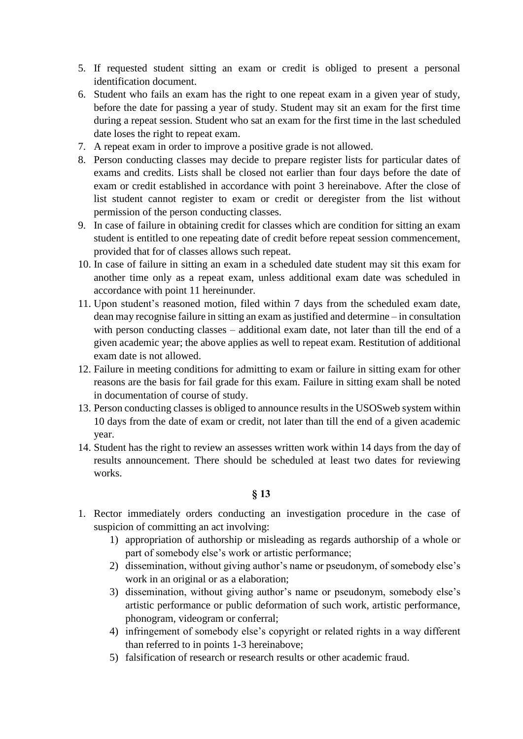- 5. If requested student sitting an exam or credit is obliged to present a personal identification document.
- 6. Student who fails an exam has the right to one repeat exam in a given year of study, before the date for passing a year of study. Student may sit an exam for the first time during a repeat session. Student who sat an exam for the first time in the last scheduled date loses the right to repeat exam.
- 7. A repeat exam in order to improve a positive grade is not allowed.
- 8. Person conducting classes may decide to prepare register lists for particular dates of exams and credits. Lists shall be closed not earlier than four days before the date of exam or credit established in accordance with point 3 hereinabove. After the close of list student cannot register to exam or credit or deregister from the list without permission of the person conducting classes.
- 9. In case of failure in obtaining credit for classes which are condition for sitting an exam student is entitled to one repeating date of credit before repeat session commencement, provided that for of classes allows such repeat.
- 10. In case of failure in sitting an exam in a scheduled date student may sit this exam for another time only as a repeat exam, unless additional exam date was scheduled in accordance with point 11 hereinunder.
- 11. Upon student's reasoned motion, filed within 7 days from the scheduled exam date, dean may recognise failure in sitting an exam as justified and determine – in consultation with person conducting classes – additional exam date, not later than till the end of a given academic year; the above applies as well to repeat exam. Restitution of additional exam date is not allowed.
- 12. Failure in meeting conditions for admitting to exam or failure in sitting exam for other reasons are the basis for fail grade for this exam. Failure in sitting exam shall be noted in documentation of course of study.
- 13. Person conducting classes is obliged to announce results in the USOSweb system within 10 days from the date of exam or credit, not later than till the end of a given academic year.
- 14. Student has the right to review an assesses written work within 14 days from the day of results announcement. There should be scheduled at least two dates for reviewing works.

- 1. Rector immediately orders conducting an investigation procedure in the case of suspicion of committing an act involving:
	- 1) appropriation of authorship or misleading as regards authorship of a whole or part of somebody else's work or artistic performance;
	- 2) dissemination, without giving author's name or pseudonym, of somebody else's work in an original or as a elaboration;
	- 3) dissemination, without giving author's name or pseudonym, somebody else's artistic performance or public deformation of such work, artistic performance, phonogram, videogram or conferral;
	- 4) infringement of somebody else's copyright or related rights in a way different than referred to in points 1-3 hereinabove;
	- 5) falsification of research or research results or other academic fraud.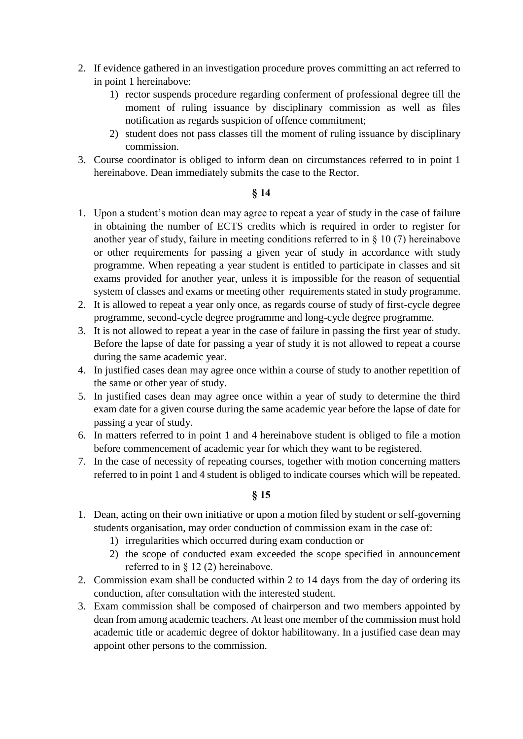- 2. If evidence gathered in an investigation procedure proves committing an act referred to in point 1 hereinabove:
	- 1) rector suspends procedure regarding conferment of professional degree till the moment of ruling issuance by disciplinary commission as well as files notification as regards suspicion of offence commitment;
	- 2) student does not pass classes till the moment of ruling issuance by disciplinary commission.
- 3. Course coordinator is obliged to inform dean on circumstances referred to in point 1 hereinabove. Dean immediately submits the case to the Rector.

- 1. Upon a student's motion dean may agree to repeat a year of study in the case of failure in obtaining the number of ECTS credits which is required in order to register for another year of study, failure in meeting conditions referred to in § 10 (7) hereinabove or other requirements for passing a given year of study in accordance with study programme. When repeating a year student is entitled to participate in classes and sit exams provided for another year, unless it is impossible for the reason of sequential system of classes and exams or meeting other requirements stated in study programme.
- 2. It is allowed to repeat a year only once, as regards course of study of first-cycle degree programme, second-cycle degree programme and long-cycle degree programme.
- 3. It is not allowed to repeat a year in the case of failure in passing the first year of study. Before the lapse of date for passing a year of study it is not allowed to repeat a course during the same academic year.
- 4. In justified cases dean may agree once within a course of study to another repetition of the same or other year of study.
- 5. In justified cases dean may agree once within a year of study to determine the third exam date for a given course during the same academic year before the lapse of date for passing a year of study.
- 6. In matters referred to in point 1 and 4 hereinabove student is obliged to file a motion before commencement of academic year for which they want to be registered.
- 7. In the case of necessity of repeating courses, together with motion concerning matters referred to in point 1 and 4 student is obliged to indicate courses which will be repeated.

- 1. Dean, acting on their own initiative or upon a motion filed by student or self-governing students organisation, may order conduction of commission exam in the case of:
	- 1) irregularities which occurred during exam conduction or
	- 2) the scope of conducted exam exceeded the scope specified in announcement referred to in § 12 (2) hereinabove.
- 2. Commission exam shall be conducted within 2 to 14 days from the day of ordering its conduction, after consultation with the interested student.
- 3. Exam commission shall be composed of chairperson and two members appointed by dean from among academic teachers. At least one member of the commission must hold academic title or academic degree of doktor habilitowany. In a justified case dean may appoint other persons to the commission.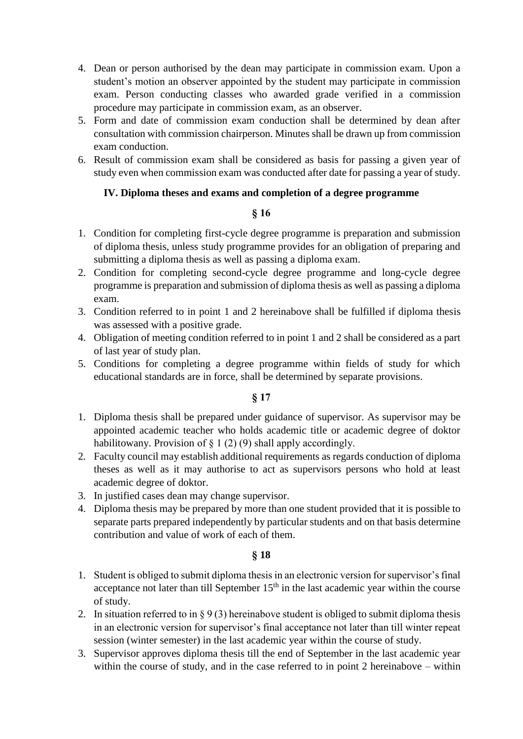- 4. Dean or person authorised by the dean may participate in commission exam. Upon a student's motion an observer appointed by the student may participate in commission exam. Person conducting classes who awarded grade verified in a commission procedure may participate in commission exam, as an observer.
- 5. Form and date of commission exam conduction shall be determined by dean after consultation with commission chairperson. Minutes shall be drawn up from commission exam conduction.
- 6. Result of commission exam shall be considered as basis for passing a given year of study even when commission exam was conducted after date for passing a year of study.

# **IV. Diploma theses and exams and completion of a degree programme**

# **§ 16**

- 1. Condition for completing first-cycle degree programme is preparation and submission of diploma thesis, unless study programme provides for an obligation of preparing and submitting a diploma thesis as well as passing a diploma exam.
- 2. Condition for completing second-cycle degree programme and long-cycle degree programme is preparation and submission of diploma thesis as well as passing a diploma exam.
- 3. Condition referred to in point 1 and 2 hereinabove shall be fulfilled if diploma thesis was assessed with a positive grade.
- 4. Obligation of meeting condition referred to in point 1 and 2 shall be considered as a part of last year of study plan.
- 5. Conditions for completing a degree programme within fields of study for which educational standards are in force, shall be determined by separate provisions.

# **§ 17**

- 1. Diploma thesis shall be prepared under guidance of supervisor. As supervisor may be appointed academic teacher who holds academic title or academic degree of doktor habilitowany. Provision of  $\S 1(2)(9)$  shall apply accordingly.
- 2. Faculty council may establish additional requirements as regards conduction of diploma theses as well as it may authorise to act as supervisors persons who hold at least academic degree of doktor.
- 3. In justified cases dean may change supervisor.
- 4. Diploma thesis may be prepared by more than one student provided that it is possible to separate parts prepared independently by particular students and on that basis determine contribution and value of work of each of them.

- 1. Student is obliged to submit diploma thesis in an electronic version for supervisor's final acceptance not later than till September  $15<sup>th</sup>$  in the last academic year within the course of study.
- 2. In situation referred to in  $\S 9(3)$  hereinabove student is obliged to submit diploma thesis in an electronic version for supervisor's final acceptance not later than till winter repeat session (winter semester) in the last academic year within the course of study.
- 3. Supervisor approves diploma thesis till the end of September in the last academic year within the course of study, and in the case referred to in point 2 hereinabove – within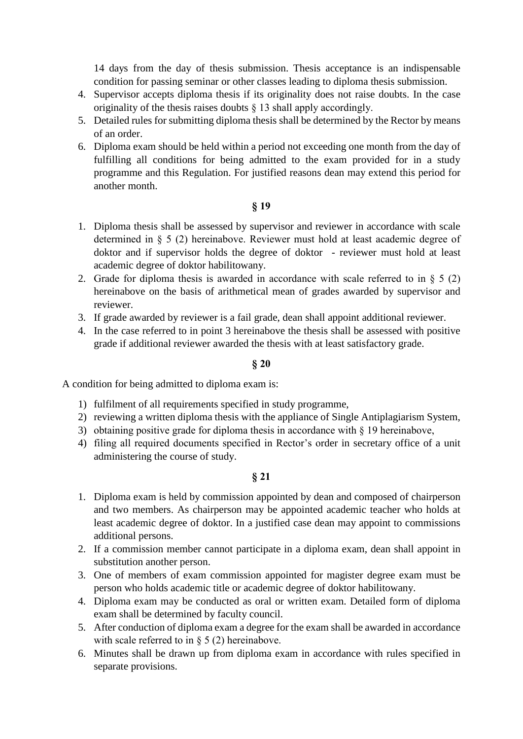14 days from the day of thesis submission. Thesis acceptance is an indispensable condition for passing seminar or other classes leading to diploma thesis submission.

- 4. Supervisor accepts diploma thesis if its originality does not raise doubts. In the case originality of the thesis raises doubts § 13 shall apply accordingly.
- 5. Detailed rules for submitting diploma thesis shall be determined by the Rector by means of an order.
- 6. Diploma exam should be held within a period not exceeding one month from the day of fulfilling all conditions for being admitted to the exam provided for in a study programme and this Regulation. For justified reasons dean may extend this period for another month.

# **§ 19**

- 1. Diploma thesis shall be assessed by supervisor and reviewer in accordance with scale determined in § 5 (2) hereinabove. Reviewer must hold at least academic degree of doktor and if supervisor holds the degree of doktor - reviewer must hold at least academic degree of doktor habilitowany.
- 2. Grade for diploma thesis is awarded in accordance with scale referred to in  $\S$  5 (2) hereinabove on the basis of arithmetical mean of grades awarded by supervisor and reviewer.
- 3. If grade awarded by reviewer is a fail grade, dean shall appoint additional reviewer.
- 4. In the case referred to in point 3 hereinabove the thesis shall be assessed with positive grade if additional reviewer awarded the thesis with at least satisfactory grade.

#### **§ 20**

A condition for being admitted to diploma exam is:

- 1) fulfilment of all requirements specified in study programme,
- 2) reviewing a written diploma thesis with the appliance of Single Antiplagiarism System,
- 3) obtaining positive grade for diploma thesis in accordance with  $\S$  19 hereinabove,
- 4) filing all required documents specified in Rector's order in secretary office of a unit administering the course of study.

- 1. Diploma exam is held by commission appointed by dean and composed of chairperson and two members. As chairperson may be appointed academic teacher who holds at least academic degree of doktor. In a justified case dean may appoint to commissions additional persons.
- 2. If a commission member cannot participate in a diploma exam, dean shall appoint in substitution another person.
- 3. One of members of exam commission appointed for magister degree exam must be person who holds academic title or academic degree of doktor habilitowany.
- 4. Diploma exam may be conducted as oral or written exam. Detailed form of diploma exam shall be determined by faculty council.
- 5. After conduction of diploma exam a degree for the exam shall be awarded in accordance with scale referred to in  $\S$  5 (2) hereinabove.
- 6. Minutes shall be drawn up from diploma exam in accordance with rules specified in separate provisions.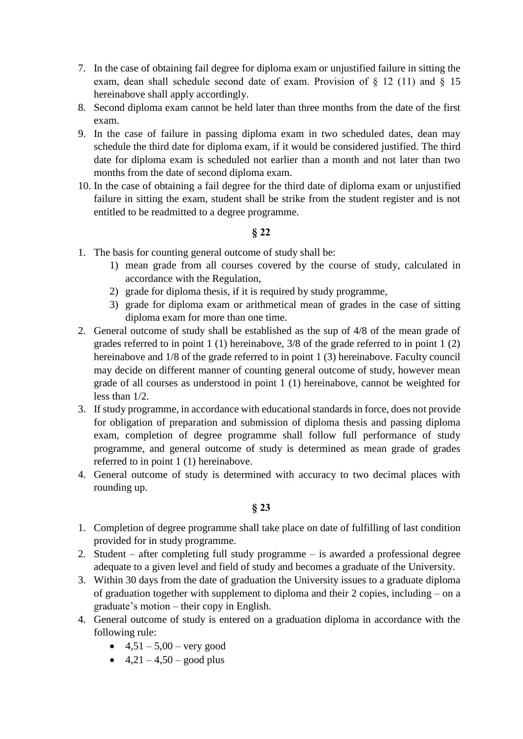- 7. In the case of obtaining fail degree for diploma exam or unjustified failure in sitting the exam, dean shall schedule second date of exam. Provision of § 12 (11) and § 15 hereinabove shall apply accordingly.
- 8. Second diploma exam cannot be held later than three months from the date of the first exam.
- 9. In the case of failure in passing diploma exam in two scheduled dates, dean may schedule the third date for diploma exam, if it would be considered justified. The third date for diploma exam is scheduled not earlier than a month and not later than two months from the date of second diploma exam.
- 10. In the case of obtaining a fail degree for the third date of diploma exam or unjustified failure in sitting the exam, student shall be strike from the student register and is not entitled to be readmitted to a degree programme.

- 1. The basis for counting general outcome of study shall be:
	- 1) mean grade from all courses covered by the course of study, calculated in accordance with the Regulation,
	- 2) grade for diploma thesis, if it is required by study programme,
	- 3) grade for diploma exam or arithmetical mean of grades in the case of sitting diploma exam for more than one time.
- 2. General outcome of study shall be established as the sup of 4/8 of the mean grade of grades referred to in point 1 (1) hereinabove, 3/8 of the grade referred to in point 1 (2) hereinabove and  $1/8$  of the grade referred to in point 1 (3) hereinabove. Faculty council may decide on different manner of counting general outcome of study, however mean grade of all courses as understood in point 1 (1) hereinabove, cannot be weighted for less than 1/2.
- 3. If study programme, in accordance with educational standards in force, does not provide for obligation of preparation and submission of diploma thesis and passing diploma exam, completion of degree programme shall follow full performance of study programme, and general outcome of study is determined as mean grade of grades referred to in point 1 (1) hereinabove.
- 4. General outcome of study is determined with accuracy to two decimal places with rounding up.

- 1. Completion of degree programme shall take place on date of fulfilling of last condition provided for in study programme.
- 2. Student after completing full study programme is awarded a professional degree adequate to a given level and field of study and becomes a graduate of the University.
- 3. Within 30 days from the date of graduation the University issues to a graduate diploma of graduation together with supplement to diploma and their 2 copies, including – on a graduate's motion – their copy in English.
- 4. General outcome of study is entered on a graduation diploma in accordance with the following rule:
	- $\bullet$  4,51 5,00 very good
	- $4,21 4,50 good plus$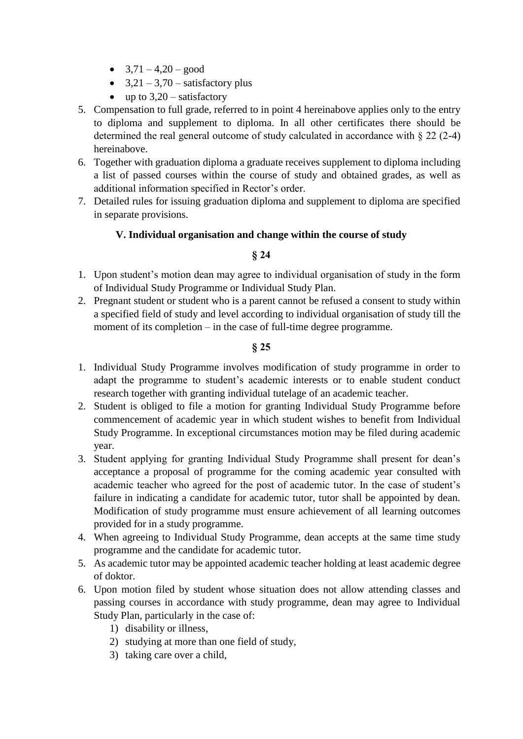- $3,71 4,20 good$
- $\bullet$  3,21 3,70 satisfactory plus
- up to  $3,20$  satisfactory
- 5. Compensation to full grade, referred to in point 4 hereinabove applies only to the entry to diploma and supplement to diploma. In all other certificates there should be determined the real general outcome of study calculated in accordance with § 22 (2-4) hereinabove.
- 6. Together with graduation diploma a graduate receives supplement to diploma including a list of passed courses within the course of study and obtained grades, as well as additional information specified in Rector's order.
- 7. Detailed rules for issuing graduation diploma and supplement to diploma are specified in separate provisions.

# **V. Individual organisation and change within the course of study**

# **§ 24**

- 1. Upon student's motion dean may agree to individual organisation of study in the form of Individual Study Programme or Individual Study Plan.
- 2. Pregnant student or student who is a parent cannot be refused a consent to study within a specified field of study and level according to individual organisation of study till the moment of its completion – in the case of full-time degree programme.

- 1. Individual Study Programme involves modification of study programme in order to adapt the programme to student's academic interests or to enable student conduct research together with granting individual tutelage of an academic teacher.
- 2. Student is obliged to file a motion for granting Individual Study Programme before commencement of academic year in which student wishes to benefit from Individual Study Programme. In exceptional circumstances motion may be filed during academic year.
- 3. Student applying for granting Individual Study Programme shall present for dean's acceptance a proposal of programme for the coming academic year consulted with academic teacher who agreed for the post of academic tutor. In the case of student's failure in indicating a candidate for academic tutor, tutor shall be appointed by dean. Modification of study programme must ensure achievement of all learning outcomes provided for in a study programme.
- 4. When agreeing to Individual Study Programme, dean accepts at the same time study programme and the candidate for academic tutor.
- 5. As academic tutor may be appointed academic teacher holding at least academic degree of doktor.
- 6. Upon motion filed by student whose situation does not allow attending classes and passing courses in accordance with study programme, dean may agree to Individual Study Plan, particularly in the case of:
	- 1) disability or illness,
	- 2) studying at more than one field of study,
	- 3) taking care over a child,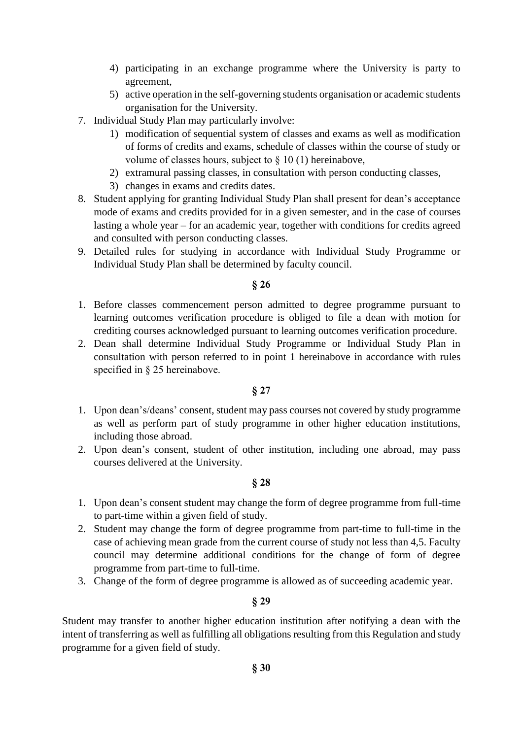- 4) participating in an exchange programme where the University is party to agreement,
- 5) active operation in the self-governing students organisation or academic students organisation for the University.
- 7. Individual Study Plan may particularly involve:
	- 1) modification of sequential system of classes and exams as well as modification of forms of credits and exams, schedule of classes within the course of study or volume of classes hours, subject to  $\S 10(1)$  hereinabove,
	- 2) extramural passing classes, in consultation with person conducting classes,
	- 3) changes in exams and credits dates.
- 8. Student applying for granting Individual Study Plan shall present for dean's acceptance mode of exams and credits provided for in a given semester, and in the case of courses lasting a whole year – for an academic year, together with conditions for credits agreed and consulted with person conducting classes.
- 9. Detailed rules for studying in accordance with Individual Study Programme or Individual Study Plan shall be determined by faculty council.

- 1. Before classes commencement person admitted to degree programme pursuant to learning outcomes verification procedure is obliged to file a dean with motion for crediting courses acknowledged pursuant to learning outcomes verification procedure.
- 2. Dean shall determine Individual Study Programme or Individual Study Plan in consultation with person referred to in point 1 hereinabove in accordance with rules specified in § 25 hereinabove.

#### **§ 27**

- 1. Upon dean's/deans' consent, student may pass courses not covered by study programme as well as perform part of study programme in other higher education institutions, including those abroad.
- 2. Upon dean's consent, student of other institution, including one abroad, may pass courses delivered at the University.

#### **§ 28**

- 1. Upon dean's consent student may change the form of degree programme from full-time to part-time within a given field of study.
- 2. Student may change the form of degree programme from part-time to full-time in the case of achieving mean grade from the current course of study not less than 4,5. Faculty council may determine additional conditions for the change of form of degree programme from part-time to full-time.
- 3. Change of the form of degree programme is allowed as of succeeding academic year.

#### **§ 29**

Student may transfer to another higher education institution after notifying a dean with the intent of transferring as well as fulfilling all obligations resulting from this Regulation and study programme for a given field of study.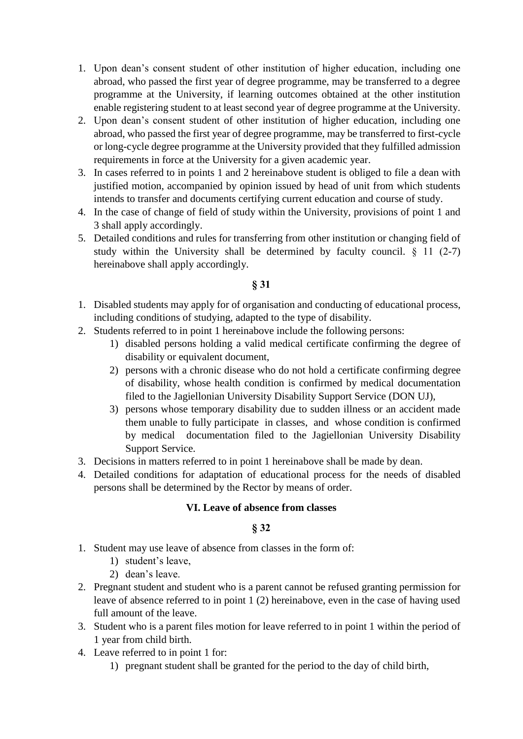- 1. Upon dean's consent student of other institution of higher education, including one abroad, who passed the first year of degree programme, may be transferred to a degree programme at the University, if learning outcomes obtained at the other institution enable registering student to at least second year of degree programme at the University.
- 2. Upon dean's consent student of other institution of higher education, including one abroad, who passed the first year of degree programme, may be transferred to first-cycle or long-cycle degree programme at the University provided that they fulfilled admission requirements in force at the University for a given academic year.
- 3. In cases referred to in points 1 and 2 hereinabove student is obliged to file a dean with justified motion, accompanied by opinion issued by head of unit from which students intends to transfer and documents certifying current education and course of study.
- 4. In the case of change of field of study within the University, provisions of point 1 and 3 shall apply accordingly.
- 5. Detailed conditions and rules for transferring from other institution or changing field of study within the University shall be determined by faculty council.  $\S$  11 (2-7) hereinabove shall apply accordingly.

- 1. Disabled students may apply for of organisation and conducting of educational process, including conditions of studying, adapted to the type of disability.
- 2. Students referred to in point 1 hereinabove include the following persons:
	- 1) disabled persons holding a valid medical certificate confirming the degree of disability or equivalent document,
	- 2) persons with a chronic disease who do not hold a certificate confirming degree of disability, whose health condition is confirmed by medical documentation filed to the Jagiellonian University Disability Support Service (DON UJ),
	- 3) persons whose temporary disability due to sudden illness or an accident made them unable to fully participate in classes, and whose condition is confirmed by medical documentation filed to the Jagiellonian University Disability Support Service.
- 3. Decisions in matters referred to in point 1 hereinabove shall be made by dean.
- 4. Detailed conditions for adaptation of educational process for the needs of disabled persons shall be determined by the Rector by means of order.

# **VI. Leave of absence from classes**

- 1. Student may use leave of absence from classes in the form of:
	- 1) student's leave,
	- 2) dean's leave.
- 2. Pregnant student and student who is a parent cannot be refused granting permission for leave of absence referred to in point 1 (2) hereinabove, even in the case of having used full amount of the leave.
- 3. Student who is a parent files motion for leave referred to in point 1 within the period of 1 year from child birth.
- 4. Leave referred to in point 1 for:
	- 1) pregnant student shall be granted for the period to the day of child birth,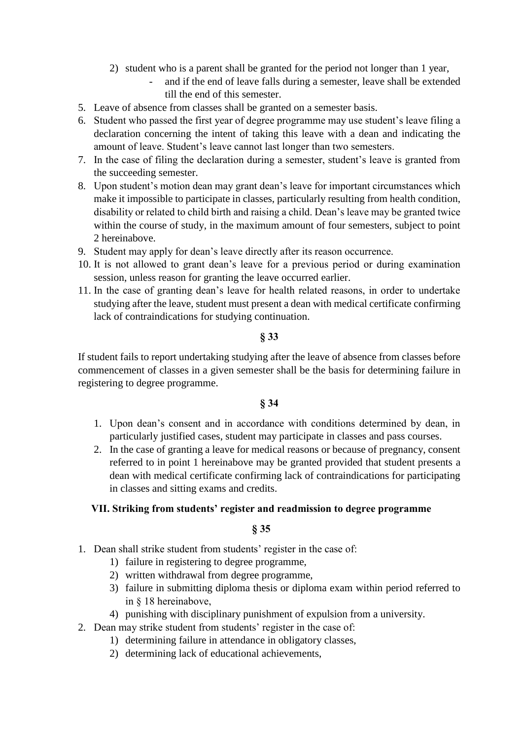- 2) student who is a parent shall be granted for the period not longer than 1 year,
	- and if the end of leave falls during a semester, leave shall be extended till the end of this semester.
- 5. Leave of absence from classes shall be granted on a semester basis.
- 6. Student who passed the first year of degree programme may use student's leave filing a declaration concerning the intent of taking this leave with a dean and indicating the amount of leave. Student's leave cannot last longer than two semesters.
- 7. In the case of filing the declaration during a semester, student's leave is granted from the succeeding semester.
- 8. Upon student's motion dean may grant dean's leave for important circumstances which make it impossible to participate in classes, particularly resulting from health condition, disability or related to child birth and raising a child. Dean's leave may be granted twice within the course of study, in the maximum amount of four semesters, subject to point 2 hereinabove.
- 9. Student may apply for dean's leave directly after its reason occurrence.
- 10. It is not allowed to grant dean's leave for a previous period or during examination session, unless reason for granting the leave occurred earlier.
- 11. In the case of granting dean's leave for health related reasons, in order to undertake studying after the leave, student must present a dean with medical certificate confirming lack of contraindications for studying continuation.

If student fails to report undertaking studying after the leave of absence from classes before commencement of classes in a given semester shall be the basis for determining failure in registering to degree programme.

# **§ 34**

- 1. Upon dean's consent and in accordance with conditions determined by dean, in particularly justified cases, student may participate in classes and pass courses.
- 2. In the case of granting a leave for medical reasons or because of pregnancy, consent referred to in point 1 hereinabove may be granted provided that student presents a dean with medical certificate confirming lack of contraindications for participating in classes and sitting exams and credits.

# **VII. Striking from students' register and readmission to degree programme**

- 1. Dean shall strike student from students' register in the case of:
	- 1) failure in registering to degree programme,
	- 2) written withdrawal from degree programme,
	- 3) failure in submitting diploma thesis or diploma exam within period referred to in § 18 hereinabove,
	- 4) punishing with disciplinary punishment of expulsion from a university.
- 2. Dean may strike student from students' register in the case of:
	- 1) determining failure in attendance in obligatory classes,
	- 2) determining lack of educational achievements,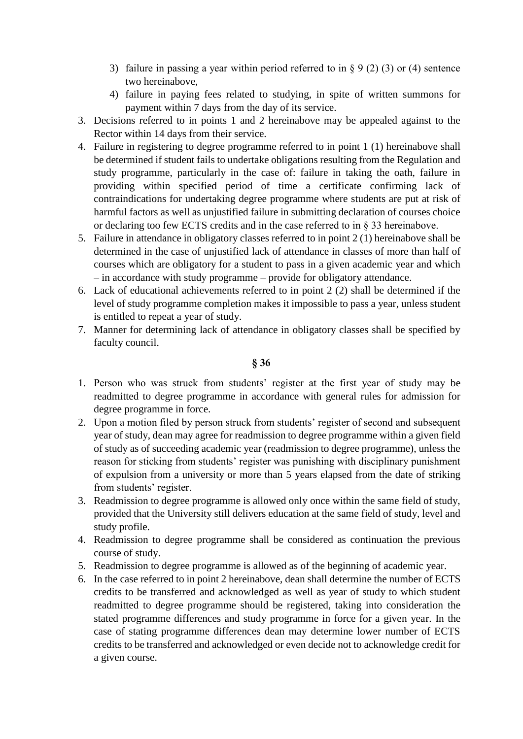- 3) failure in passing a year within period referred to in  $\S 9(2)(3)$  or (4) sentence two hereinabove,
- 4) failure in paying fees related to studying, in spite of written summons for payment within 7 days from the day of its service.
- 3. Decisions referred to in points 1 and 2 hereinabove may be appealed against to the Rector within 14 days from their service.
- 4. Failure in registering to degree programme referred to in point 1 (1) hereinabove shall be determined if student fails to undertake obligations resulting from the Regulation and study programme, particularly in the case of: failure in taking the oath, failure in providing within specified period of time a certificate confirming lack of contraindications for undertaking degree programme where students are put at risk of harmful factors as well as unjustified failure in submitting declaration of courses choice or declaring too few ECTS credits and in the case referred to in § 33 hereinabove.
- 5. Failure in attendance in obligatory classes referred to in point 2 (1) hereinabove shall be determined in the case of unjustified lack of attendance in classes of more than half of courses which are obligatory for a student to pass in a given academic year and which – in accordance with study programme – provide for obligatory attendance.
- 6. Lack of educational achievements referred to in point 2 (2) shall be determined if the level of study programme completion makes it impossible to pass a year, unless student is entitled to repeat a year of study.
- 7. Manner for determining lack of attendance in obligatory classes shall be specified by faculty council.

- 1. Person who was struck from students' register at the first year of study may be readmitted to degree programme in accordance with general rules for admission for degree programme in force.
- 2. Upon a motion filed by person struck from students' register of second and subsequent year of study, dean may agree for readmission to degree programme within a given field of study as of succeeding academic year (readmission to degree programme), unless the reason for sticking from students' register was punishing with disciplinary punishment of expulsion from a university or more than 5 years elapsed from the date of striking from students' register.
- 3. Readmission to degree programme is allowed only once within the same field of study, provided that the University still delivers education at the same field of study, level and study profile.
- 4. Readmission to degree programme shall be considered as continuation the previous course of study.
- 5. Readmission to degree programme is allowed as of the beginning of academic year.
- 6. In the case referred to in point 2 hereinabove, dean shall determine the number of ECTS credits to be transferred and acknowledged as well as year of study to which student readmitted to degree programme should be registered, taking into consideration the stated programme differences and study programme in force for a given year. In the case of stating programme differences dean may determine lower number of ECTS credits to be transferred and acknowledged or even decide not to acknowledge credit for a given course.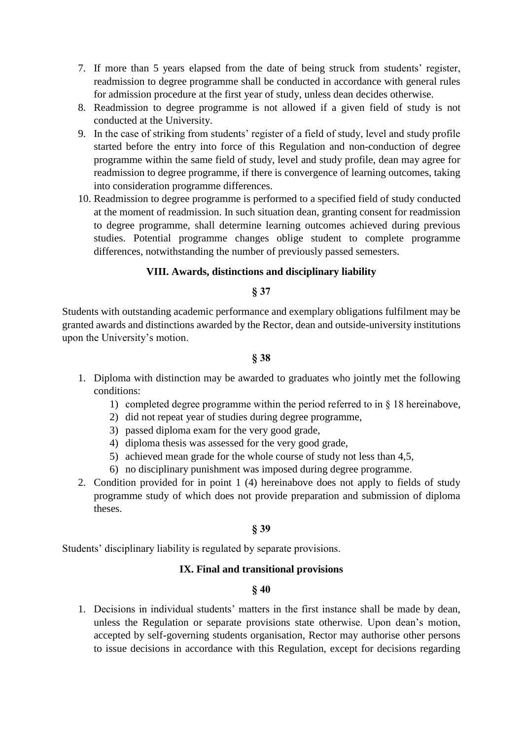- 7. If more than 5 years elapsed from the date of being struck from students' register, readmission to degree programme shall be conducted in accordance with general rules for admission procedure at the first year of study, unless dean decides otherwise.
- 8. Readmission to degree programme is not allowed if a given field of study is not conducted at the University.
- 9. In the case of striking from students' register of a field of study, level and study profile started before the entry into force of this Regulation and non-conduction of degree programme within the same field of study, level and study profile, dean may agree for readmission to degree programme, if there is convergence of learning outcomes, taking into consideration programme differences.
- 10. Readmission to degree programme is performed to a specified field of study conducted at the moment of readmission. In such situation dean, granting consent for readmission to degree programme, shall determine learning outcomes achieved during previous studies. Potential programme changes oblige student to complete programme differences, notwithstanding the number of previously passed semesters.

# **VIII. Awards, distinctions and disciplinary liability**

#### **§ 37**

Students with outstanding academic performance and exemplary obligations fulfilment may be granted awards and distinctions awarded by the Rector, dean and outside-university institutions upon the University's motion.

#### **§ 38**

- 1. Diploma with distinction may be awarded to graduates who jointly met the following conditions:
	- 1) completed degree programme within the period referred to in § 18 hereinabove,
	- 2) did not repeat year of studies during degree programme,
	- 3) passed diploma exam for the very good grade,
	- 4) diploma thesis was assessed for the very good grade,
	- 5) achieved mean grade for the whole course of study not less than 4,5,
	- 6) no disciplinary punishment was imposed during degree programme.
- 2. Condition provided for in point 1 (4) hereinabove does not apply to fields of study programme study of which does not provide preparation and submission of diploma theses.

# **§ 39**

Students' disciplinary liability is regulated by separate provisions.

# **IX. Final and transitional provisions**

# **§ 40**

1. Decisions in individual students' matters in the first instance shall be made by dean, unless the Regulation or separate provisions state otherwise. Upon dean's motion, accepted by self-governing students organisation, Rector may authorise other persons to issue decisions in accordance with this Regulation, except for decisions regarding